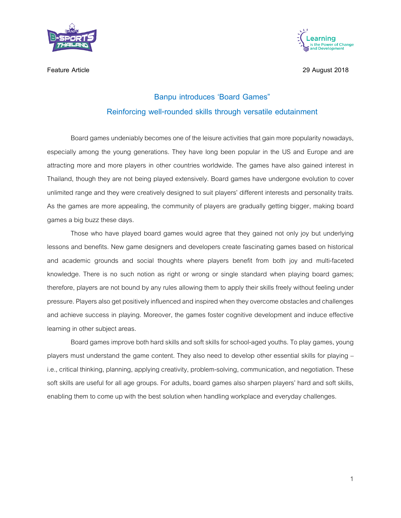



**Feature Article 29 August 2018**

## **Banpu introduces 'Board Games" Reinforcing well-rounded skills through versatile edutainment**

Board games undeniably becomes one of the leisure activities that gain more popularity nowadays, especially among the young generations. They have long been popular in the US and Europe and are attracting more and more players in other countries worldwide. The games have also gained interest in Thailand, though they are not being played extensively. Board games have undergone evolution to cover unlimited range and they were creatively designed to suit players' different interests and personality traits. As the games are more appealing, the community of players are gradually getting bigger, making board games a big buzz these days.

Those who have played board games would agree that they gained not only joy but underlying lessons and benefits. New game designers and developers create fascinating games based on historical and academic grounds and social thoughts where players benefit from both joy and multi-faceted knowledge. There is no such notion as right or wrong or single standard when playing board games; therefore, players are not bound by any rules allowing them to apply their skills freely without feeling under pressure. Players also get positively influenced and inspired when they overcome obstacles and challenges and achieve success in playing. Moreover, the games foster cognitive development and induce effective learning in other subject areas.

Board games improve both hard skills and soft skills for school-aged youths. To play games, young players must understand the game content. They also need to develop other essential skills for playing – i.e., critical thinking, planning, applying creativity, problem-solving, communication, and negotiation. These soft skills are useful for all age groups. For adults, board games also sharpen players' hard and soft skills, enabling them to come up with the best solution when handling workplace and everyday challenges.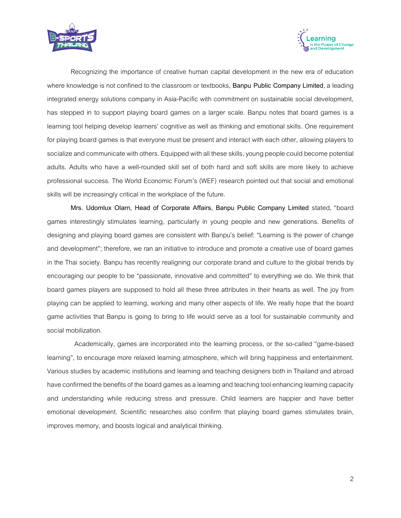



Recognizing the importance of creative human capital development in the new era of education where knowledge is not confined to the classroom or textbooks, **Banpu Public Company Limited**,a leading integrated energy solutions company in Asia-Pacific with commitment on sustainable social development, has stepped in to support playing board games on a larger scale. Banpu notes that board games is a learning tool helping develop learners' cognitive as well as thinking and emotional skills. One requirement for playing board games is that everyone must be present and interact with each other, allowing players to socialize and communicate with others. Equipped with all these skills, young people could become potential adults. Adults who have a well-rounded skill set of both hard and soft skills are more likely to achieve professional success. The World Economic Forum's (WEF) research pointed out that social and emotional skills will be increasingly critical in the workplace of the future.

**Mrs. Udomlux Olarn, Head of Corporate Affairs, Banpu Public Company Limited** stated, "board games interestingly stimulates learning, particularly in young people and new generations. Benefits of designing and playing board games are consistent with Banpu's belief: "Learning is the power of change and development"; therefore, we ran an initiative to introduce and promote a creative use of board games in the Thai society. Banpu has recently realigning our corporate brand and culture to the global trends by encouraging our people to be "passionate, innovative and committed" to everything we do. We think that board games players are supposed to hold all these three attributes in their hearts as well. The joy from playing can be applied to learning, working and many other aspects of life. We really hope that the board game activities that Banpu is going to bring to life would serve as a tool for sustainable community and social mobilization.

Academically, games are incorporated into the learning process, or the so-called "game-based learning", to encourage more relaxed learning atmosphere, which will bring happiness and entertainment. Various studies by academic institutions and learning and teaching designers both in Thailand and abroad have confirmed the benefits of the board games as a learning and teaching tool enhancing learning capacity and understanding while reducing stress and pressure. Child learners are happier and have better emotional development. Scientific researches also confirm that playing board games stimulates brain, improves memory, and boosts logical and analytical thinking.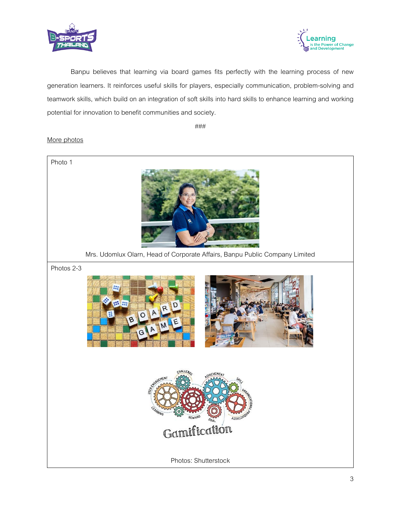



Banpu believes that learning via board games fits perfectly with the learning process of new generation learners. It reinforces useful skills for players, especially communication, problem-solving and teamwork skills, which build on an integration of soft skills into hard skills to enhance learning and working potential for innovation to benefit communities and society.

###

## More photos